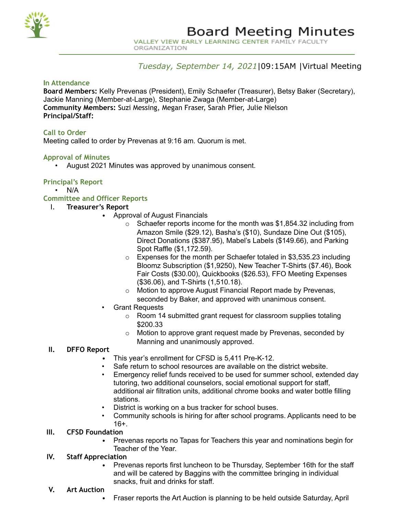

VALLEY VIEW EARLY LEARNING CENTER FAMILY FACULTY ORGANIZATION

# *Tuesday, September 14, 2021*|09:15AM |Virtual Meeting

# **In Attendance**

**Board Members:** Kelly Prevenas (President), Emily Schaefer (Treasurer), Betsy Baker (Secretary), Jackie Manning (Member-at-Large), Stephanie Zwaga (Member-at-Large) **Community Members:** Suzi Messing, Megan Fraser, Sarah Pfier, Julie Nielson **Principal/Staff:**

## **Call to Order**

Meeting called to order by Prevenas at 9:16 am. Quorum is met.

## **Approval of Minutes**

• August 2021 Minutes was approved by unanimous consent.

## **Principal's Report**

• N/A

## **Committee and Officer Reports**

- I. **Treasurer's Report**
	- Approval of August Financials
		- $\circ$  Schaefer reports income for the month was \$1,854.32 including from Amazon Smile (\$29.12), Basha's (\$10), Sundaze Dine Out (\$105), Direct Donations (\$387.95), Mabel's Labels (\$149.66), and Parking Spot Raffle (\$1,172.59).
		- o Expenses for the month per Schaefer totaled in \$3,535.23 including Bloomz Subscription (\$1,9250), New Teacher T-Shirts (\$7.46), Book Fair Costs (\$30.00), Quickbooks (\$26.53), FFO Meeting Expenses (\$36.06), and T-Shirts (1,510.18).
		- o Motion to approve August Financial Report made by Prevenas, seconded by Baker, and approved with unanimous consent.
	- Grant Requests
		- o Room 14 submitted grant request for classroom supplies totaling \$200.33
		- o Motion to approve grant request made by Prevenas, seconded by Manning and unanimously approved.

## **II. DFFO Report**

- This year's enrollment for CFSD is 5,411 Pre-K-12.
- Safe return to school resources are available on the district website.
- Emergency relief funds received to be used for summer school, extended day tutoring, two additional counselors, social emotional support for staff, additional air filtration units, additional chrome books and water bottle filling stations.
- District is working on a bus tracker for school buses.
- Community schools is hiring for after school programs. Applicants need to be 16+.

## **III. CFSD Foundation**

• Prevenas reports no Tapas for Teachers this year and nominations begin for Teacher of the Year.

# **IV. Staff Appreciation**

- Prevenas reports first luncheon to be Thursday, September 16th for the staff and will be catered by Baggins with the committee bringing in individual snacks, fruit and drinks for staff.
- **V. Art Auction**
	- Fraser reports the Art Auction is planning to be held outside Saturday, April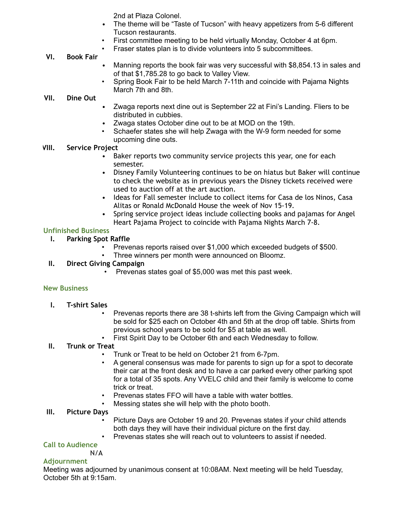2nd at Plaza Colonel.

- The theme will be "Taste of Tucson" with heavy appetizers from 5-6 different Tucson restaurants.
- First committee meeting to be held virtually Monday, October 4 at 6pm.
	- Fraser states plan is to divide volunteers into 5 subcommittees.

# **VI. Book Fair**

- Manning reports the book fair was very successful with \$8,854.13 in sales and of that \$1,785.28 to go back to Valley View.
- Spring Book Fair to be held March 7-11th and coincide with Pajama Nights March 7th and 8th.

## **VII. Dine Out**

- Zwaga reports next dine out is September 22 at Fini's Landing. Fliers to be distributed in cubbies.
- Zwaga states October dine out to be at MOD on the 19th.
- Schaefer states she will help Zwaga with the W-9 form needed for some upcoming dine outs.

## **VIII. Service Project**

- Baker reports two community service projects this year, one for each semester.
- Disney Family Volunteering continues to be on hiatus but Baker will continue to check the website as in previous years the Disney tickets received were used to auction off at the art auction.
- Ideas for Fall semester include to collect items for Casa de los Ninos, Casa Alitas or Ronald McDonald House the week of Nov 15-19.
- Spring service project ideas include collecting books and pajamas for Angel Heart Pajama Project to coincide with Pajama Nights March 7-8.

## **Unfinished Business**

- **I. Parking Spot Raffle**
	- Prevenas reports raised over \$1,000 which exceeded budgets of \$500.
	- Three winners per month were announced on Bloomz.

# **II. Direct Giving Campaign**

• Prevenas states goal of \$5,000 was met this past week.

## **New Business**

- **I. T-shirt Sales**
	- Prevenas reports there are 38 t-shirts left from the Giving Campaign which will be sold for \$25 each on October 4th and 5th at the drop off table. Shirts from previous school years to be sold for \$5 at table as well.
	- First Spirit Day to be October 6th and each Wednesday to follow.

# **II. Trunk or Treat**

- Trunk or Treat to be held on October 21 from 6-7pm.
- A general consensus was made for parents to sign up for a spot to decorate their car at the front desk and to have a car parked every other parking spot for a total of 35 spots. Any VVELC child and their family is welcome to come trick or treat.
- Prevenas states FFO will have a table with water bottles.
- Messing states she will help with the photo booth.

## **III. Picture Days**

- Picture Days are October 19 and 20. Prevenas states if your child attends both days they will have their individual picture on the first day.
- Prevenas states she will reach out to volunteers to assist if needed.

# **Call to Audience**

N/A

## **Adjournment**

Meeting was adjourned by unanimous consent at 10:08AM. Next meeting will be held Tuesday, October 5th at 9:15am.